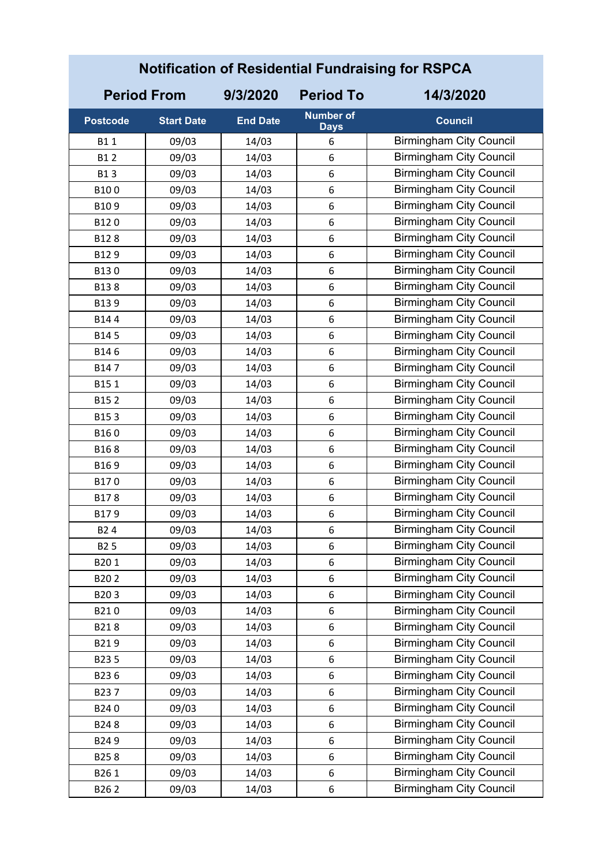| <b>Notification of Residential Fundraising for RSPCA</b> |                    |                 |                                 |                                |  |
|----------------------------------------------------------|--------------------|-----------------|---------------------------------|--------------------------------|--|
|                                                          | <b>Period From</b> | 9/3/2020        | <b>Period To</b>                | 14/3/2020                      |  |
| <b>Postcode</b>                                          | <b>Start Date</b>  | <b>End Date</b> | <b>Number of</b><br><b>Days</b> | <b>Council</b>                 |  |
| B11                                                      | 09/03              | 14/03           | 6                               | <b>Birmingham City Council</b> |  |
| <b>B12</b>                                               | 09/03              | 14/03           | 6                               | <b>Birmingham City Council</b> |  |
| <b>B13</b>                                               | 09/03              | 14/03           | 6                               | <b>Birmingham City Council</b> |  |
| B100                                                     | 09/03              | 14/03           | 6                               | <b>Birmingham City Council</b> |  |
| B109                                                     | 09/03              | 14/03           | 6                               | <b>Birmingham City Council</b> |  |
| B120                                                     | 09/03              | 14/03           | 6                               | <b>Birmingham City Council</b> |  |
| B128                                                     | 09/03              | 14/03           | 6                               | <b>Birmingham City Council</b> |  |
| B129                                                     | 09/03              | 14/03           | 6                               | <b>Birmingham City Council</b> |  |
| B130                                                     | 09/03              | 14/03           | 6                               | <b>Birmingham City Council</b> |  |
| B138                                                     | 09/03              | 14/03           | 6                               | <b>Birmingham City Council</b> |  |
| B139                                                     | 09/03              | 14/03           | 6                               | <b>Birmingham City Council</b> |  |
| B144                                                     | 09/03              | 14/03           | 6                               | <b>Birmingham City Council</b> |  |
| B145                                                     | 09/03              | 14/03           | 6                               | <b>Birmingham City Council</b> |  |
| B146                                                     | 09/03              | 14/03           | 6                               | <b>Birmingham City Council</b> |  |
| B147                                                     | 09/03              | 14/03           | 6                               | <b>Birmingham City Council</b> |  |
| B151                                                     | 09/03              | 14/03           | 6                               | <b>Birmingham City Council</b> |  |
| B152                                                     | 09/03              | 14/03           | 6                               | <b>Birmingham City Council</b> |  |
| B153                                                     | 09/03              | 14/03           | 6                               | <b>Birmingham City Council</b> |  |
| B160                                                     | 09/03              | 14/03           | 6                               | <b>Birmingham City Council</b> |  |
| B168                                                     | 09/03              | 14/03           | 6                               | <b>Birmingham City Council</b> |  |
| B169                                                     | 09/03              | 14/03           | 6                               | <b>Birmingham City Council</b> |  |
| B170                                                     | 09/03              | 14/03           | 6                               | <b>Birmingham City Council</b> |  |
| B178                                                     | 09/03              | 14/03           | 6                               | <b>Birmingham City Council</b> |  |
| B179                                                     | 09/03              | 14/03           | 6                               | <b>Birmingham City Council</b> |  |
| B <sub>2</sub> 4                                         | 09/03              | 14/03           | 6                               | <b>Birmingham City Council</b> |  |
| B <sub>25</sub>                                          | 09/03              | 14/03           | 6                               | <b>Birmingham City Council</b> |  |
| B201                                                     | 09/03              | 14/03           | 6                               | <b>Birmingham City Council</b> |  |
| B202                                                     | 09/03              | 14/03           | 6                               | <b>Birmingham City Council</b> |  |
| B203                                                     | 09/03              | 14/03           | 6                               | <b>Birmingham City Council</b> |  |
| B210                                                     | 09/03              | 14/03           | 6                               | <b>Birmingham City Council</b> |  |
| B218                                                     | 09/03              | 14/03           | 6                               | <b>Birmingham City Council</b> |  |
| B219                                                     | 09/03              | 14/03           | 6                               | <b>Birmingham City Council</b> |  |
| B235                                                     | 09/03              | 14/03           | 6                               | <b>Birmingham City Council</b> |  |
| B236                                                     | 09/03              | 14/03           | 6                               | <b>Birmingham City Council</b> |  |
| B237                                                     | 09/03              | 14/03           | 6                               | <b>Birmingham City Council</b> |  |
| B240                                                     | 09/03              | 14/03           | 6                               | <b>Birmingham City Council</b> |  |
| B248                                                     | 09/03              | 14/03           | 6                               | <b>Birmingham City Council</b> |  |
| B249                                                     | 09/03              | 14/03           | 6                               | <b>Birmingham City Council</b> |  |
| B258                                                     | 09/03              | 14/03           | 6                               | <b>Birmingham City Council</b> |  |
| B261                                                     | 09/03              | 14/03           | 6                               | <b>Birmingham City Council</b> |  |
| B262                                                     | 09/03              | 14/03           | 6                               | <b>Birmingham City Council</b> |  |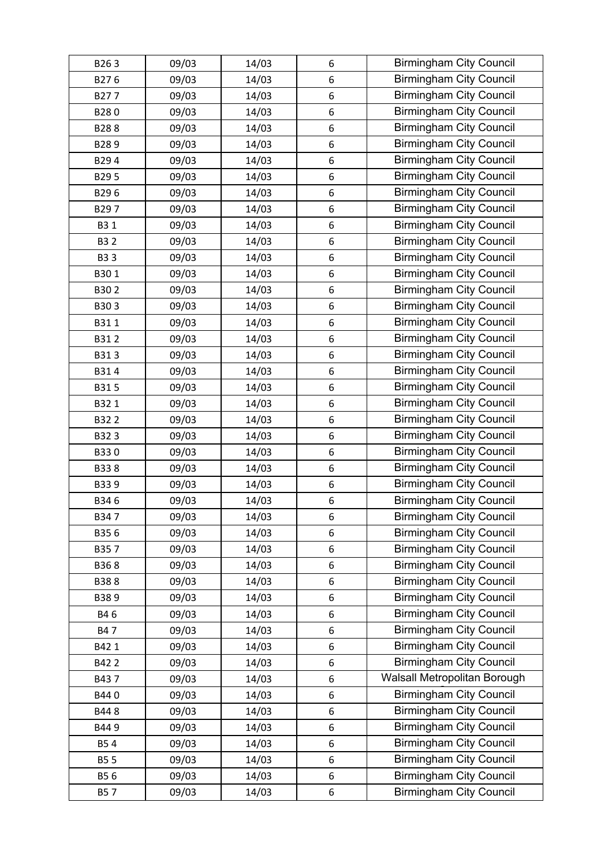| B263       | 09/03 | 14/03 | 6     | <b>Birmingham City Council</b> |
|------------|-------|-------|-------|--------------------------------|
| B276       | 09/03 | 14/03 | 6     | <b>Birmingham City Council</b> |
| B277       | 09/03 | 14/03 | 6     | <b>Birmingham City Council</b> |
| B280       | 09/03 | 14/03 | 6     | <b>Birmingham City Council</b> |
| B288       | 09/03 | 14/03 | 6     | <b>Birmingham City Council</b> |
| B289       | 09/03 | 14/03 | 6     | <b>Birmingham City Council</b> |
| B294       | 09/03 | 14/03 | 6     | <b>Birmingham City Council</b> |
| B295       | 09/03 | 14/03 | 6     | <b>Birmingham City Council</b> |
| B296       | 09/03 | 14/03 | 6     | <b>Birmingham City Council</b> |
| B297       | 09/03 | 14/03 | 6     | <b>Birmingham City Council</b> |
| B3 1       | 09/03 | 14/03 | 6     | <b>Birmingham City Council</b> |
| <b>B32</b> | 09/03 | 14/03 | 6     | <b>Birmingham City Council</b> |
| <b>B33</b> | 09/03 | 14/03 | 6     | <b>Birmingham City Council</b> |
| B301       | 09/03 | 14/03 | 6     | <b>Birmingham City Council</b> |
| B302       | 09/03 | 14/03 | 6     | <b>Birmingham City Council</b> |
| B303       | 09/03 | 14/03 | 6     | <b>Birmingham City Council</b> |
| B311       | 09/03 | 14/03 | 6     | <b>Birmingham City Council</b> |
| B312       | 09/03 | 14/03 | 6     | <b>Birmingham City Council</b> |
| B313       | 09/03 | 14/03 | 6     | <b>Birmingham City Council</b> |
| B314       | 09/03 | 14/03 | 6     | <b>Birmingham City Council</b> |
| B315       | 09/03 | 14/03 | 6     | <b>Birmingham City Council</b> |
| B321       | 09/03 | 14/03 | 6     | <b>Birmingham City Council</b> |
| B322       | 09/03 | 14/03 | 6     | <b>Birmingham City Council</b> |
| B323       | 09/03 | 14/03 | 6     | <b>Birmingham City Council</b> |
| B330       | 09/03 | 14/03 | 6     | <b>Birmingham City Council</b> |
| B338       | 09/03 | 14/03 | 6     | <b>Birmingham City Council</b> |
| B339       | 09/03 | 14/03 | 6     | <b>Birmingham City Council</b> |
| B346       | 09/03 | 14/03 | 6     | <b>Birmingham City Council</b> |
| B347       | 09/03 | 14/03 | 6     | <b>Birmingham City Council</b> |
| B356       | 09/03 | 14/03 | 6     | <b>Birmingham City Council</b> |
| B357       | 09/03 | 14/03 | 6     | <b>Birmingham City Council</b> |
| B368       | 09/03 | 14/03 | 6     | <b>Birmingham City Council</b> |
| B388       | 09/03 | 14/03 | 6     | <b>Birmingham City Council</b> |
| B389       | 09/03 | 14/03 | 6     | <b>Birmingham City Council</b> |
| B46        | 09/03 | 14/03 | 6     | <b>Birmingham City Council</b> |
| B47        | 09/03 | 14/03 | 6     | <b>Birmingham City Council</b> |
| B42 1      | 09/03 | 14/03 | $6\,$ | <b>Birmingham City Council</b> |
| B422       | 09/03 | 14/03 | 6     | <b>Birmingham City Council</b> |
| B437       | 09/03 | 14/03 | 6     | Walsall Metropolitan Borough   |
| B440       | 09/03 | 14/03 | 6     | <b>Birmingham City Council</b> |
| B448       | 09/03 | 14/03 | 6     | <b>Birmingham City Council</b> |
| B449       | 09/03 | 14/03 | 6     | <b>Birmingham City Council</b> |
| <b>B54</b> | 09/03 | 14/03 | 6     | <b>Birmingham City Council</b> |
| <b>B55</b> | 09/03 | 14/03 | 6     | <b>Birmingham City Council</b> |
| B56        | 09/03 | 14/03 | 6     | <b>Birmingham City Council</b> |
| <b>B57</b> | 09/03 | 14/03 | 6     | <b>Birmingham City Council</b> |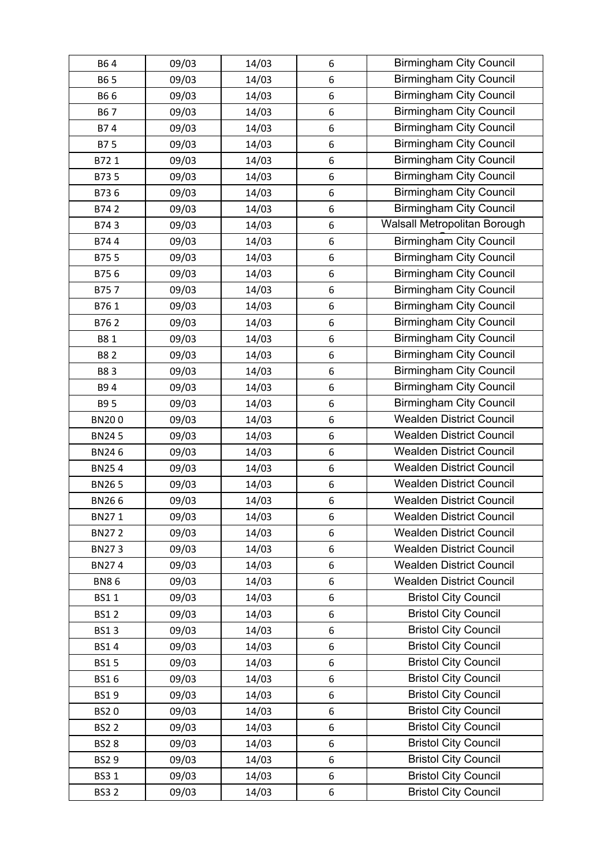| B64          | 09/03 | 14/03 | 6                | <b>Birmingham City Council</b>  |
|--------------|-------|-------|------------------|---------------------------------|
| B6 5         | 09/03 | 14/03 | 6                | <b>Birmingham City Council</b>  |
| B66          | 09/03 | 14/03 | 6                | <b>Birmingham City Council</b>  |
| B67          | 09/03 | 14/03 | 6                | <b>Birmingham City Council</b>  |
| B74          | 09/03 | 14/03 | 6                | <b>Birmingham City Council</b>  |
| B75          | 09/03 | 14/03 | 6                | <b>Birmingham City Council</b>  |
| B721         | 09/03 | 14/03 | 6                | <b>Birmingham City Council</b>  |
| B735         | 09/03 | 14/03 | 6                | <b>Birmingham City Council</b>  |
| B736         | 09/03 | 14/03 | 6                | <b>Birmingham City Council</b>  |
| B742         | 09/03 | 14/03 | 6                | <b>Birmingham City Council</b>  |
| B743         | 09/03 | 14/03 | 6                | Walsall Metropolitan Borough    |
| B744         | 09/03 | 14/03 | 6                | <b>Birmingham City Council</b>  |
| B755         | 09/03 | 14/03 | 6                | <b>Birmingham City Council</b>  |
| B756         | 09/03 | 14/03 | 6                | <b>Birmingham City Council</b>  |
| B757         | 09/03 | 14/03 | 6                | <b>Birmingham City Council</b>  |
| B761         | 09/03 | 14/03 | 6                | <b>Birmingham City Council</b>  |
| B762         | 09/03 | 14/03 | 6                | <b>Birmingham City Council</b>  |
| B81          | 09/03 | 14/03 | 6                | <b>Birmingham City Council</b>  |
| <b>B82</b>   | 09/03 | 14/03 | 6                | <b>Birmingham City Council</b>  |
| B83          | 09/03 | 14/03 | 6                | <b>Birmingham City Council</b>  |
| B94          | 09/03 | 14/03 | 6                | <b>Birmingham City Council</b>  |
| B9 5         | 09/03 | 14/03 | 6                | <b>Birmingham City Council</b>  |
| <b>BN200</b> | 09/03 | 14/03 | 6                | <b>Wealden District Council</b> |
| <b>BN245</b> | 09/03 | 14/03 | 6                | <b>Wealden District Council</b> |
| <b>BN246</b> | 09/03 | 14/03 | $\boldsymbol{6}$ | <b>Wealden District Council</b> |
| <b>BN254</b> | 09/03 | 14/03 | 6                | <b>Wealden District Council</b> |
| <b>BN265</b> | 09/03 | 14/03 | 6                | <b>Wealden District Council</b> |
| <b>BN266</b> | 09/03 | 14/03 | 6                | <b>Wealden District Council</b> |
| BN271        | 09/03 | 14/03 | 6                | <b>Wealden District Council</b> |
| <b>BN272</b> | 09/03 | 14/03 | 6                | <b>Wealden District Council</b> |
| <b>BN273</b> | 09/03 | 14/03 | 6                | <b>Wealden District Council</b> |
| <b>BN274</b> | 09/03 | 14/03 | 6                | <b>Wealden District Council</b> |
| <b>BN86</b>  | 09/03 | 14/03 | 6                | <b>Wealden District Council</b> |
| <b>BS11</b>  | 09/03 | 14/03 | 6                | <b>Bristol City Council</b>     |
| <b>BS12</b>  | 09/03 | 14/03 | 6                | <b>Bristol City Council</b>     |
| <b>BS13</b>  | 09/03 | 14/03 | 6                | <b>Bristol City Council</b>     |
| <b>BS14</b>  | 09/03 | 14/03 | 6                | <b>Bristol City Council</b>     |
| <b>BS15</b>  | 09/03 | 14/03 | 6                | <b>Bristol City Council</b>     |
| <b>BS16</b>  | 09/03 | 14/03 | 6                | <b>Bristol City Council</b>     |
| <b>BS19</b>  | 09/03 | 14/03 | 6                | <b>Bristol City Council</b>     |
| <b>BS20</b>  | 09/03 | 14/03 | 6                | <b>Bristol City Council</b>     |
| <b>BS22</b>  | 09/03 | 14/03 | 6                | <b>Bristol City Council</b>     |
| <b>BS28</b>  | 09/03 | 14/03 | 6                | <b>Bristol City Council</b>     |
| <b>BS29</b>  | 09/03 | 14/03 | 6                | <b>Bristol City Council</b>     |
| <b>BS31</b>  | 09/03 | 14/03 | 6                | <b>Bristol City Council</b>     |
| <b>BS32</b>  | 09/03 | 14/03 | 6                | <b>Bristol City Council</b>     |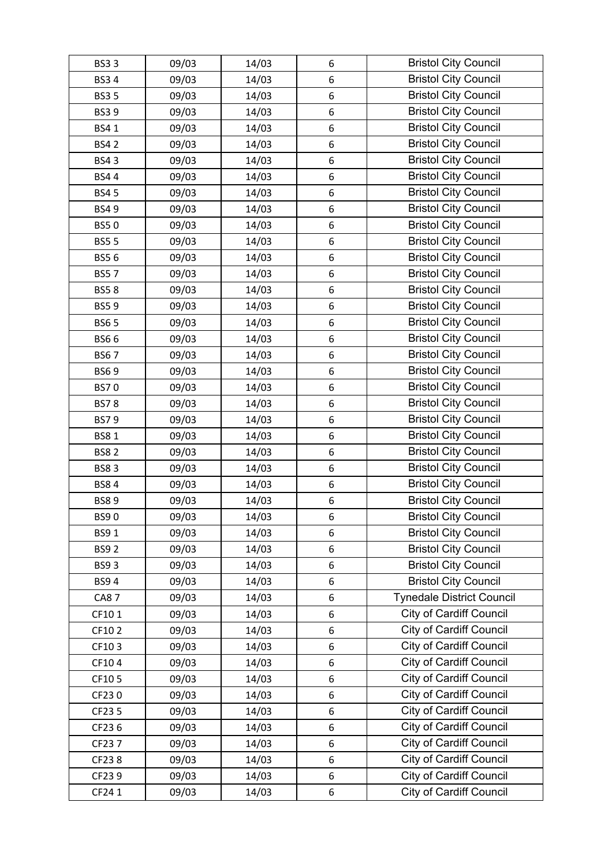| <b>BS33</b> | 09/03 | 14/03 | 6 | <b>Bristol City Council</b>      |
|-------------|-------|-------|---|----------------------------------|
| <b>BS34</b> | 09/03 | 14/03 | 6 | <b>Bristol City Council</b>      |
| <b>BS35</b> | 09/03 | 14/03 | 6 | <b>Bristol City Council</b>      |
| <b>BS39</b> | 09/03 | 14/03 | 6 | <b>Bristol City Council</b>      |
| <b>BS41</b> | 09/03 | 14/03 | 6 | <b>Bristol City Council</b>      |
| <b>BS42</b> | 09/03 | 14/03 | 6 | <b>Bristol City Council</b>      |
| <b>BS43</b> | 09/03 | 14/03 | 6 | <b>Bristol City Council</b>      |
| <b>BS44</b> | 09/03 | 14/03 | 6 | <b>Bristol City Council</b>      |
| <b>BS45</b> | 09/03 | 14/03 | 6 | <b>Bristol City Council</b>      |
| <b>BS49</b> | 09/03 | 14/03 | 6 | <b>Bristol City Council</b>      |
| <b>BS50</b> | 09/03 | 14/03 | 6 | <b>Bristol City Council</b>      |
| <b>BS55</b> | 09/03 | 14/03 | 6 | <b>Bristol City Council</b>      |
| <b>BS56</b> | 09/03 | 14/03 | 6 | <b>Bristol City Council</b>      |
| <b>BS57</b> | 09/03 | 14/03 | 6 | <b>Bristol City Council</b>      |
| <b>BS58</b> | 09/03 | 14/03 | 6 | <b>Bristol City Council</b>      |
| <b>BS59</b> | 09/03 | 14/03 | 6 | <b>Bristol City Council</b>      |
| <b>BS65</b> | 09/03 | 14/03 | 6 | <b>Bristol City Council</b>      |
| <b>BS66</b> | 09/03 | 14/03 | 6 | <b>Bristol City Council</b>      |
| <b>BS67</b> | 09/03 | 14/03 | 6 | <b>Bristol City Council</b>      |
| <b>BS69</b> | 09/03 | 14/03 | 6 | <b>Bristol City Council</b>      |
| <b>BS70</b> | 09/03 | 14/03 | 6 | <b>Bristol City Council</b>      |
| <b>BS78</b> | 09/03 | 14/03 | 6 | <b>Bristol City Council</b>      |
| <b>BS79</b> | 09/03 | 14/03 | 6 | <b>Bristol City Council</b>      |
| <b>BS81</b> | 09/03 | 14/03 | 6 | <b>Bristol City Council</b>      |
| <b>BS82</b> | 09/03 | 14/03 | 6 | <b>Bristol City Council</b>      |
| <b>BS83</b> | 09/03 | 14/03 | 6 | <b>Bristol City Council</b>      |
| <b>BS84</b> | 09/03 | 14/03 | 6 | <b>Bristol City Council</b>      |
| <b>BS89</b> | 09/03 | 14/03 | 6 | <b>Bristol City Council</b>      |
| <b>BS90</b> | 09/03 | 14/03 | 6 | <b>Bristol City Council</b>      |
| <b>BS91</b> | 09/03 | 14/03 | 6 | <b>Bristol City Council</b>      |
| <b>BS92</b> | 09/03 | 14/03 | 6 | <b>Bristol City Council</b>      |
| <b>BS93</b> | 09/03 | 14/03 | 6 | <b>Bristol City Council</b>      |
| <b>BS94</b> | 09/03 | 14/03 | 6 | <b>Bristol City Council</b>      |
| <b>CA87</b> | 09/03 | 14/03 | 6 | <b>Tynedale District Council</b> |
| CF101       | 09/03 | 14/03 | 6 | <b>City of Cardiff Council</b>   |
| CF102       | 09/03 | 14/03 | 6 | <b>City of Cardiff Council</b>   |
| CF103       | 09/03 | 14/03 | 6 | City of Cardiff Council          |
| CF104       | 09/03 | 14/03 | 6 | <b>City of Cardiff Council</b>   |
| CF105       | 09/03 | 14/03 | 6 | <b>City of Cardiff Council</b>   |
| CF230       | 09/03 | 14/03 | 6 | <b>City of Cardiff Council</b>   |
| CF23 5      | 09/03 | 14/03 | 6 | <b>City of Cardiff Council</b>   |
| CF236       | 09/03 | 14/03 | 6 | <b>City of Cardiff Council</b>   |
| CF237       | 09/03 | 14/03 | 6 | <b>City of Cardiff Council</b>   |
| CF238       | 09/03 | 14/03 | 6 | <b>City of Cardiff Council</b>   |
| CF239       | 09/03 | 14/03 | 6 | <b>City of Cardiff Council</b>   |
| CF24 1      | 09/03 | 14/03 | 6 | <b>City of Cardiff Council</b>   |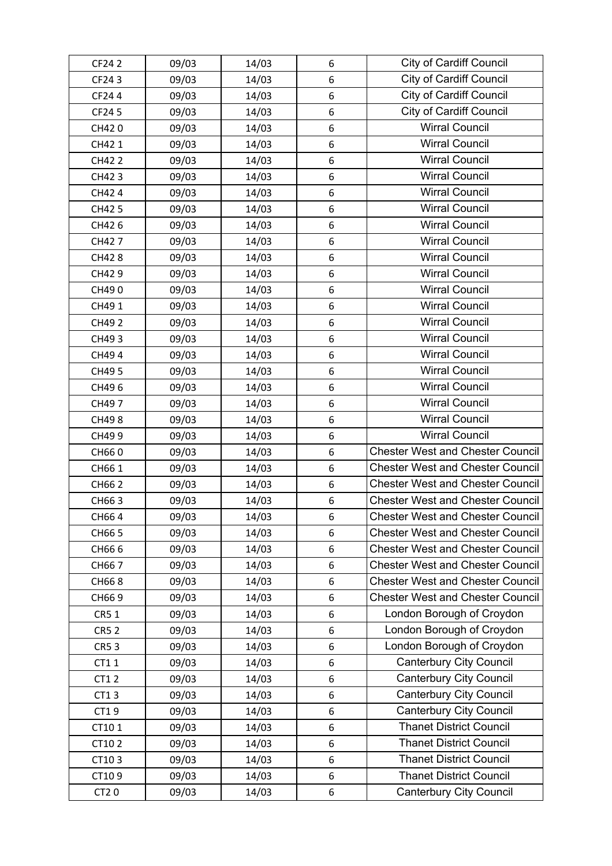| CF24 2      | 09/03 | 14/03 | 6 | <b>City of Cardiff Council</b>          |
|-------------|-------|-------|---|-----------------------------------------|
| CF243       | 09/03 | 14/03 | 6 | <b>City of Cardiff Council</b>          |
| CF244       | 09/03 | 14/03 | 6 | <b>City of Cardiff Council</b>          |
| CF24 5      | 09/03 | 14/03 | 6 | <b>City of Cardiff Council</b>          |
| CH420       | 09/03 | 14/03 | 6 | <b>Wirral Council</b>                   |
| CH42 1      | 09/03 | 14/03 | 6 | <b>Wirral Council</b>                   |
| CH42 2      | 09/03 | 14/03 | 6 | <b>Wirral Council</b>                   |
| CH423       | 09/03 | 14/03 | 6 | <b>Wirral Council</b>                   |
| CH42 4      | 09/03 | 14/03 | 6 | <b>Wirral Council</b>                   |
| CH42 5      | 09/03 | 14/03 | 6 | <b>Wirral Council</b>                   |
| CH426       | 09/03 | 14/03 | 6 | <b>Wirral Council</b>                   |
| CH427       | 09/03 | 14/03 | 6 | <b>Wirral Council</b>                   |
| CH428       | 09/03 | 14/03 | 6 | <b>Wirral Council</b>                   |
| CH429       | 09/03 | 14/03 | 6 | <b>Wirral Council</b>                   |
| CH490       | 09/03 | 14/03 | 6 | <b>Wirral Council</b>                   |
| CH49 1      | 09/03 | 14/03 | 6 | <b>Wirral Council</b>                   |
| CH49 2      | 09/03 | 14/03 | 6 | <b>Wirral Council</b>                   |
| CH493       | 09/03 | 14/03 | 6 | <b>Wirral Council</b>                   |
| CH494       | 09/03 | 14/03 | 6 | <b>Wirral Council</b>                   |
| CH49 5      | 09/03 | 14/03 | 6 | <b>Wirral Council</b>                   |
| CH496       | 09/03 | 14/03 | 6 | <b>Wirral Council</b>                   |
| CH497       | 09/03 | 14/03 | 6 | <b>Wirral Council</b>                   |
| CH498       | 09/03 | 14/03 | 6 | <b>Wirral Council</b>                   |
| CH499       | 09/03 | 14/03 | 6 | <b>Wirral Council</b>                   |
| CH660       | 09/03 | 14/03 | 6 | <b>Chester West and Chester Council</b> |
| CH66 1      | 09/03 | 14/03 | 6 | <b>Chester West and Chester Council</b> |
| CH66 2      | 09/03 | 14/03 | 6 | <b>Chester West and Chester Council</b> |
| CH663       | 09/03 | 14/03 | 6 | <b>Chester West and Chester Council</b> |
| CH664       | 09/03 | 14/03 | 6 | <b>Chester West and Chester Council</b> |
| CH66 5      | 09/03 | 14/03 | 6 | <b>Chester West and Chester Council</b> |
| CH666       | 09/03 | 14/03 | 6 | <b>Chester West and Chester Council</b> |
| CH667       | 09/03 | 14/03 | 6 | <b>Chester West and Chester Council</b> |
| CH668       | 09/03 | 14/03 | 6 | <b>Chester West and Chester Council</b> |
| CH669       | 09/03 | 14/03 | 6 | <b>Chester West and Chester Council</b> |
| CR5 1       | 09/03 | 14/03 | 6 | London Borough of Croydon               |
| <b>CR52</b> | 09/03 | 14/03 | 6 | London Borough of Croydon               |
| <b>CR53</b> | 09/03 | 14/03 | 6 | London Borough of Croydon               |
| CT11        | 09/03 | 14/03 | 6 | <b>Canterbury City Council</b>          |
| CT1 2       | 09/03 | 14/03 | 6 | <b>Canterbury City Council</b>          |
| CT13        | 09/03 | 14/03 | 6 | <b>Canterbury City Council</b>          |
| CT19        | 09/03 | 14/03 | 6 | <b>Canterbury City Council</b>          |
| CT101       | 09/03 | 14/03 | 6 | <b>Thanet District Council</b>          |
| CT102       | 09/03 | 14/03 | 6 | <b>Thanet District Council</b>          |
| CT103       | 09/03 | 14/03 | 6 | <b>Thanet District Council</b>          |
| CT109       | 09/03 | 14/03 | 6 | <b>Thanet District Council</b>          |
| CT20        | 09/03 | 14/03 | 6 | <b>Canterbury City Council</b>          |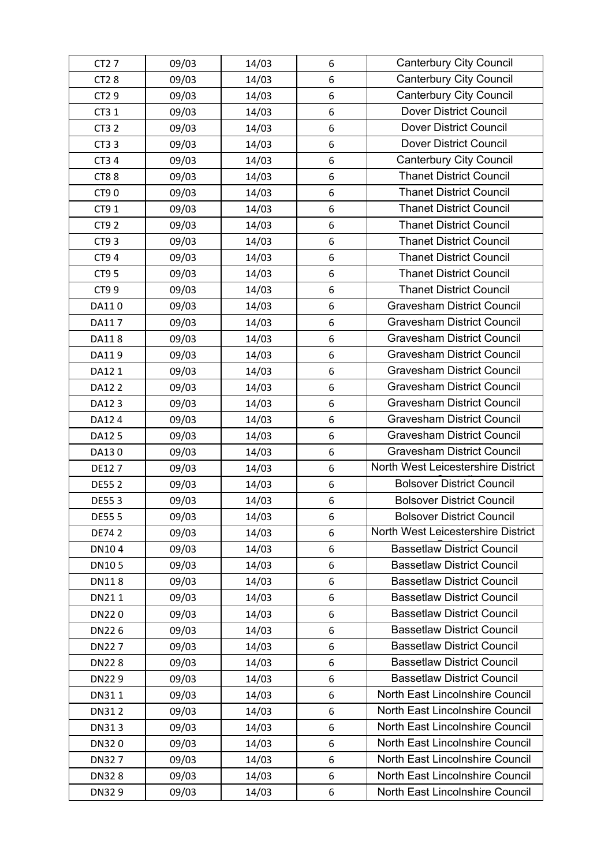| CT2 7        | 09/03 | 14/03 | 6 | <b>Canterbury City Council</b>     |
|--------------|-------|-------|---|------------------------------------|
| CT28         | 09/03 | 14/03 | 6 | <b>Canterbury City Council</b>     |
| CT2 9        | 09/03 | 14/03 | 6 | <b>Canterbury City Council</b>     |
| CT3 1        | 09/03 | 14/03 | 6 | <b>Dover District Council</b>      |
| CT3 2        | 09/03 | 14/03 | 6 | Dover District Council             |
| CT3 3        | 09/03 | 14/03 | 6 | <b>Dover District Council</b>      |
| CT3 4        | 09/03 | 14/03 | 6 | <b>Canterbury City Council</b>     |
| <b>CT88</b>  | 09/03 | 14/03 | 6 | <b>Thanet District Council</b>     |
| CT90         | 09/03 | 14/03 | 6 | <b>Thanet District Council</b>     |
| CT9 1        | 09/03 | 14/03 | 6 | <b>Thanet District Council</b>     |
| CT9 2        | 09/03 | 14/03 | 6 | <b>Thanet District Council</b>     |
| CT93         | 09/03 | 14/03 | 6 | <b>Thanet District Council</b>     |
| CT9 4        | 09/03 | 14/03 | 6 | <b>Thanet District Council</b>     |
| CT9 5        | 09/03 | 14/03 | 6 | <b>Thanet District Council</b>     |
| CT9 9        | 09/03 | 14/03 | 6 | <b>Thanet District Council</b>     |
| DA110        | 09/03 | 14/03 | 6 | <b>Gravesham District Council</b>  |
| DA117        | 09/03 | 14/03 | 6 | <b>Gravesham District Council</b>  |
| DA118        | 09/03 | 14/03 | 6 | <b>Gravesham District Council</b>  |
| DA119        | 09/03 | 14/03 | 6 | <b>Gravesham District Council</b>  |
| DA12 1       | 09/03 | 14/03 | 6 | <b>Gravesham District Council</b>  |
| DA12 2       | 09/03 | 14/03 | 6 | <b>Gravesham District Council</b>  |
| DA123        | 09/03 | 14/03 | 6 | <b>Gravesham District Council</b>  |
| DA12 4       | 09/03 | 14/03 | 6 | <b>Gravesham District Council</b>  |
| DA12 5       | 09/03 | 14/03 | 6 | <b>Gravesham District Council</b>  |
| DA130        | 09/03 | 14/03 | 6 | <b>Gravesham District Council</b>  |
| DE127        | 09/03 | 14/03 | 6 | North West Leicestershire District |
| <b>DE552</b> | 09/03 | 14/03 | 6 | <b>Bolsover District Council</b>   |
| DE553        | 09/03 | 14/03 | 6 | <b>Bolsover District Council</b>   |
| <b>DE555</b> | 09/03 | 14/03 | 6 | <b>Bolsover District Council</b>   |
| DE74 2       | 09/03 | 14/03 | 6 | North West Leicestershire District |
| DN104        | 09/03 | 14/03 | 6 | <b>Bassetlaw District Council</b>  |
| <b>DN105</b> | 09/03 | 14/03 | 6 | <b>Bassetlaw District Council</b>  |
| <b>DN118</b> | 09/03 | 14/03 | 6 | <b>Bassetlaw District Council</b>  |
| DN211        | 09/03 | 14/03 | 6 | <b>Bassetlaw District Council</b>  |
| DN220        | 09/03 | 14/03 | 6 | <b>Bassetlaw District Council</b>  |
| DN226        | 09/03 | 14/03 | 6 | <b>Bassetlaw District Council</b>  |
| DN227        | 09/03 | 14/03 | 6 | <b>Bassetlaw District Council</b>  |
| <b>DN228</b> | 09/03 | 14/03 | 6 | <b>Bassetlaw District Council</b>  |
| DN229        | 09/03 | 14/03 | 6 | <b>Bassetlaw District Council</b>  |
| DN311        | 09/03 | 14/03 | 6 | North East Lincolnshire Council    |
| DN312        | 09/03 | 14/03 | 6 | North East Lincolnshire Council    |
| DN313        | 09/03 | 14/03 | 6 | North East Lincolnshire Council    |
| DN320        | 09/03 | 14/03 | 6 | North East Lincolnshire Council    |
| DN327        | 09/03 | 14/03 | 6 | North East Lincolnshire Council    |
| DN328        | 09/03 | 14/03 | 6 | North East Lincolnshire Council    |
| DN329        | 09/03 | 14/03 | 6 | North East Lincolnshire Council    |
|              |       |       |   |                                    |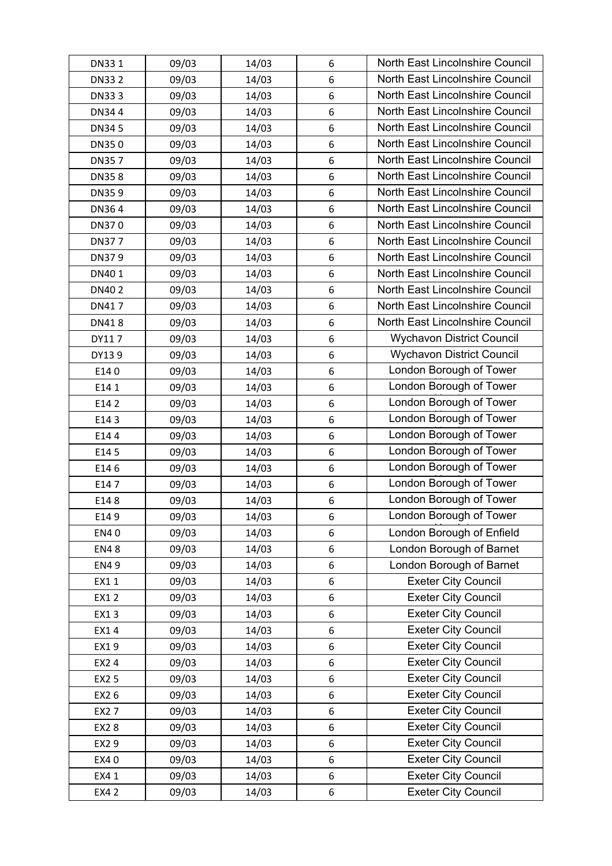| DN331        | 09/03 | 14/03 | 6                | North East Lincolnshire Council  |
|--------------|-------|-------|------------------|----------------------------------|
| <b>DN332</b> | 09/03 | 14/03 | 6                | North East Lincolnshire Council  |
| DN333        | 09/03 | 14/03 | $\boldsymbol{6}$ | North East Lincolnshire Council  |
| DN344        | 09/03 | 14/03 | $\,6\,$          | North East Lincolnshire Council  |
| DN345        | 09/03 | 14/03 | $\boldsymbol{6}$ | North East Lincolnshire Council  |
| DN350        | 09/03 | 14/03 | $6\phantom{1}6$  | North East Lincolnshire Council  |
| <b>DN357</b> | 09/03 | 14/03 | 6                | North East Lincolnshire Council  |
| <b>DN358</b> | 09/03 | 14/03 | $6\phantom{1}6$  | North East Lincolnshire Council  |
| DN359        | 09/03 | 14/03 | $\boldsymbol{6}$ | North East Lincolnshire Council  |
| DN364        | 09/03 | 14/03 | 6                | North East Lincolnshire Council  |
| DN370        | 09/03 | 14/03 | $\boldsymbol{6}$ | North East Lincolnshire Council  |
| <b>DN377</b> | 09/03 | 14/03 | $\,6\,$          | North East Lincolnshire Council  |
| DN379        | 09/03 | 14/03 | $\boldsymbol{6}$ | North East Lincolnshire Council  |
| DN401        | 09/03 | 14/03 | $6\phantom{1}6$  | North East Lincolnshire Council  |
| DN402        | 09/03 | 14/03 | $6\phantom{1}6$  | North East Lincolnshire Council  |
| DN417        | 09/03 | 14/03 | 6                | North East Lincolnshire Council  |
| DN418        | 09/03 | 14/03 | $6\phantom{1}6$  | North East Lincolnshire Council  |
| DY117        | 09/03 | 14/03 | 6                | <b>Wychavon District Council</b> |
| DY139        | 09/03 | 14/03 | $\boldsymbol{6}$ | <b>Wychavon District Council</b> |
| E140         | 09/03 | 14/03 | $\,6\,$          | London Borough of Tower          |
| E14 1        | 09/03 | 14/03 | $6\phantom{1}6$  | London Borough of Tower          |
| E14 2        | 09/03 | 14/03 | $6\phantom{1}6$  | London Borough of Tower          |
| E143         | 09/03 | 14/03 | 6                | London Borough of Tower          |
| E144         | 09/03 | 14/03 | 6                | London Borough of Tower          |
| E14 5        | 09/03 | 14/03 | $\boldsymbol{6}$ | London Borough of Tower          |
| E146         | 09/03 | 14/03 | 6                | London Borough of Tower          |
| E147         | 09/03 | 14/03 | 6                | London Borough of Tower          |
| E148         | 09/03 | 14/03 | $\,6\,$          | London Borough of Tower          |
| E149         | 09/03 | 14/03 | 6                | London Borough of Tower          |
| <b>EN40</b>  | 09/03 | 14/03 | 6                | London Borough of Enfield        |
| <b>EN48</b>  | 09/03 | 14/03 | 6                | London Borough of Barnet         |
| <b>EN49</b>  | 09/03 | 14/03 | 6                | London Borough of Barnet         |
| EX11         | 09/03 | 14/03 | 6                | <b>Exeter City Council</b>       |
| EX12         | 09/03 | 14/03 | 6                | <b>Exeter City Council</b>       |
| EX13         | 09/03 | 14/03 | 6                | <b>Exeter City Council</b>       |
| EX14         | 09/03 | 14/03 | 6                | <b>Exeter City Council</b>       |
| EX19         | 09/03 | 14/03 | 6                | <b>Exeter City Council</b>       |
| EX2 4        | 09/03 | 14/03 | 6                | <b>Exeter City Council</b>       |
| EX2 5        | 09/03 | 14/03 | 6                | <b>Exeter City Council</b>       |
| EX2 6        | 09/03 | 14/03 | 6                | <b>Exeter City Council</b>       |
| EX2 7        | 09/03 | 14/03 | 6                | <b>Exeter City Council</b>       |
| EX28         | 09/03 | 14/03 | 6                | <b>Exeter City Council</b>       |
| EX2 9        | 09/03 | 14/03 | 6                | <b>Exeter City Council</b>       |
| EX40         | 09/03 | 14/03 | 6                | <b>Exeter City Council</b>       |
| EX4 1        | 09/03 | 14/03 | 6                | <b>Exeter City Council</b>       |
| EX4 2        | 09/03 | 14/03 | 6                | <b>Exeter City Council</b>       |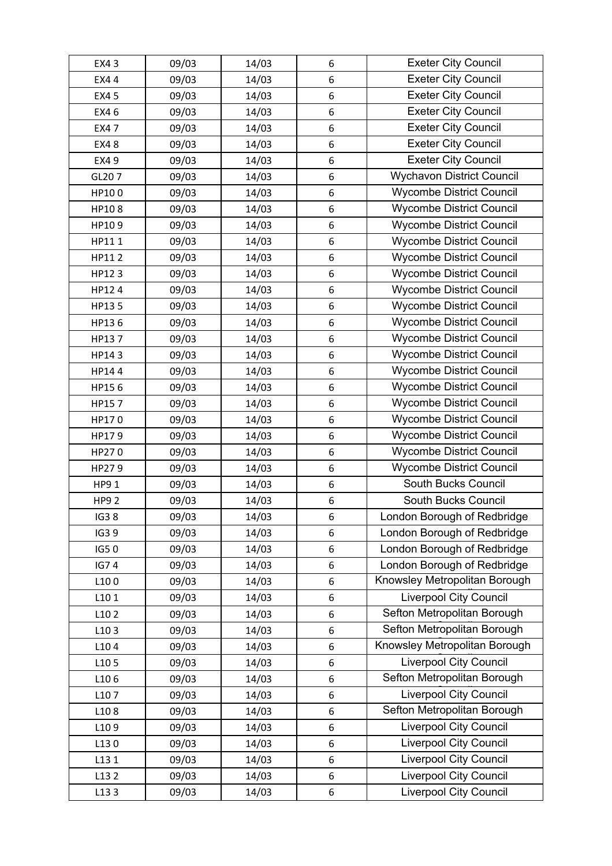| EX4 3       | 09/03 | 14/03 | 6       | <b>Exeter City Council</b>       |
|-------------|-------|-------|---------|----------------------------------|
| EX4 4       | 09/03 | 14/03 | 6       | <b>Exeter City Council</b>       |
| EX4 5       | 09/03 | 14/03 | 6       | <b>Exeter City Council</b>       |
| EX4 6       | 09/03 | 14/03 | 6       | <b>Exeter City Council</b>       |
| <b>EX47</b> | 09/03 | 14/03 | 6       | <b>Exeter City Council</b>       |
| EX48        | 09/03 | 14/03 | 6       | <b>Exeter City Council</b>       |
| EX4 9       | 09/03 | 14/03 | 6       | <b>Exeter City Council</b>       |
| GL207       | 09/03 | 14/03 | 6       | <b>Wychavon District Council</b> |
| HP100       | 09/03 | 14/03 | 6       | <b>Wycombe District Council</b>  |
| HP108       | 09/03 | 14/03 | 6       | <b>Wycombe District Council</b>  |
| HP109       | 09/03 | 14/03 | 6       | <b>Wycombe District Council</b>  |
| HP111       | 09/03 | 14/03 | 6       | <b>Wycombe District Council</b>  |
| HP112       | 09/03 | 14/03 | 6       | <b>Wycombe District Council</b>  |
| HP123       | 09/03 | 14/03 | 6       | <b>Wycombe District Council</b>  |
| HP124       | 09/03 | 14/03 | 6       | <b>Wycombe District Council</b>  |
| HP135       | 09/03 | 14/03 | 6       | <b>Wycombe District Council</b>  |
| HP136       | 09/03 | 14/03 | 6       | <b>Wycombe District Council</b>  |
| HP137       | 09/03 | 14/03 | 6       | <b>Wycombe District Council</b>  |
| HP143       | 09/03 | 14/03 | 6       | <b>Wycombe District Council</b>  |
| HP144       | 09/03 | 14/03 | 6       | <b>Wycombe District Council</b>  |
| HP156       | 09/03 | 14/03 | 6       | <b>Wycombe District Council</b>  |
| HP157       | 09/03 | 14/03 | 6       | <b>Wycombe District Council</b>  |
| HP170       | 09/03 | 14/03 | 6       | <b>Wycombe District Council</b>  |
| HP179       | 09/03 | 14/03 | 6       | <b>Wycombe District Council</b>  |
| HP270       | 09/03 | 14/03 | 6       | <b>Wycombe District Council</b>  |
| HP279       | 09/03 | 14/03 | 6       | <b>Wycombe District Council</b>  |
| HP9 1       | 09/03 | 14/03 | 6       | South Bucks Council              |
| <b>HP92</b> | 09/03 | 14/03 | 6       | South Bucks Council              |
| <b>IG38</b> | 09/03 | 14/03 | 6       | London Borough of Redbridge      |
| IG3 9       | 09/03 | 14/03 | 6       | London Borough of Redbridge      |
| IG50        | 09/03 | 14/03 | 6       | London Borough of Redbridge      |
| <b>IG74</b> | 09/03 | 14/03 | 6       | London Borough of Redbridge      |
| L100        | 09/03 | 14/03 | 6       | Knowsley Metropolitan Borough    |
| L101        | 09/03 | 14/03 | 6       | <b>Liverpool City Council</b>    |
| L102        | 09/03 | 14/03 | 6       | Sefton Metropolitan Borough      |
| L103        | 09/03 | 14/03 | 6       | Sefton Metropolitan Borough      |
| L104        | 09/03 | 14/03 | 6       | Knowsley Metropolitan Borough    |
| L105        | 09/03 | 14/03 | 6       | <b>Liverpool City Council</b>    |
| L106        | 09/03 | 14/03 | 6       | Sefton Metropolitan Borough      |
| L107        | 09/03 | 14/03 | 6       | <b>Liverpool City Council</b>    |
| L108        | 09/03 | 14/03 | 6       | Sefton Metropolitan Borough      |
| L109        | 09/03 | 14/03 | 6       | Liverpool City Council           |
| L130        | 09/03 | 14/03 | 6       | <b>Liverpool City Council</b>    |
| L13 1       | 09/03 | 14/03 | 6       | <b>Liverpool City Council</b>    |
| L13 2       | 09/03 | 14/03 | $\,6\,$ | <b>Liverpool City Council</b>    |
| L133        | 09/03 | 14/03 | 6       | <b>Liverpool City Council</b>    |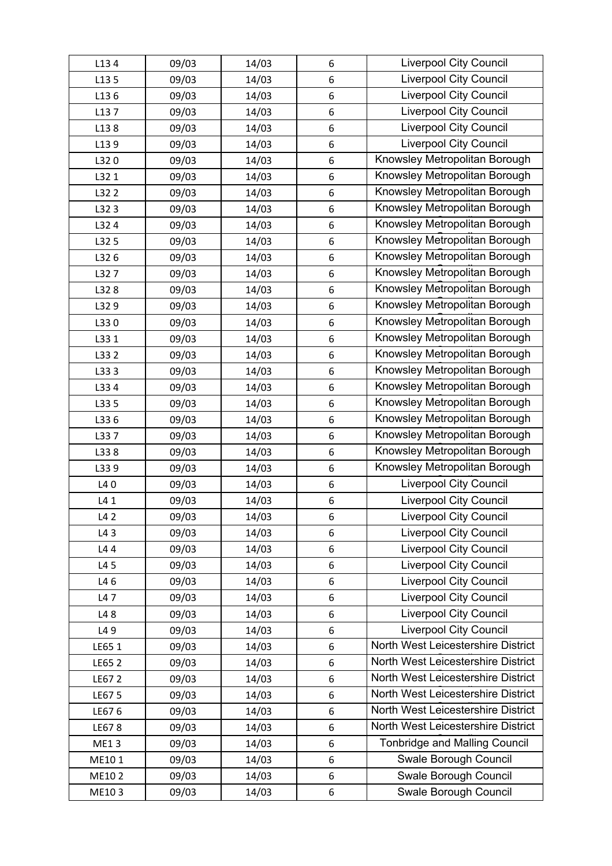| L134        | 09/03 | 14/03 | 6      | <b>Liverpool City Council</b>        |
|-------------|-------|-------|--------|--------------------------------------|
| L13 5       | 09/03 | 14/03 | 6      | <b>Liverpool City Council</b>        |
| L136        | 09/03 | 14/03 | 6      | <b>Liverpool City Council</b>        |
| L137        | 09/03 | 14/03 | 6      | <b>Liverpool City Council</b>        |
| L138        | 09/03 | 14/03 | 6      | Liverpool City Council               |
| L139        | 09/03 | 14/03 | 6      | <b>Liverpool City Council</b>        |
| L320        | 09/03 | 14/03 | 6      | Knowsley Metropolitan Borough        |
| L32 1       | 09/03 | 14/03 | 6      | Knowsley Metropolitan Borough        |
| L32 2       | 09/03 | 14/03 | 6      | Knowsley Metropolitan Borough        |
| L323        | 09/03 | 14/03 | 6      | Knowsley Metropolitan Borough        |
| L32 4       | 09/03 | 14/03 | 6      | Knowsley Metropolitan Borough        |
| L32 5       | 09/03 | 14/03 | 6      | Knowsley Metropolitan Borough        |
| L326        | 09/03 | 14/03 | 6      | Knowsley Metropolitan Borough        |
| L327        | 09/03 | 14/03 | 6      | Knowsley Metropolitan Borough        |
| L328        | 09/03 | 14/03 | 6      | Knowsley Metropolitan Borough        |
| L329        | 09/03 | 14/03 | 6      | Knowsley Metropolitan Borough        |
| L330        | 09/03 | 14/03 | 6      | Knowsley Metropolitan Borough        |
| L331        | 09/03 | 14/03 | 6      | Knowsley Metropolitan Borough        |
| L33 2       | 09/03 | 14/03 | 6      | Knowsley Metropolitan Borough        |
| L333        | 09/03 | 14/03 | 6      | Knowsley Metropolitan Borough        |
| L334        | 09/03 | 14/03 | 6      | Knowsley Metropolitan Borough        |
| L33 5       | 09/03 | 14/03 | 6      | Knowsley Metropolitan Borough        |
| L336        | 09/03 | 14/03 | 6      | Knowsley Metropolitan Borough        |
| L337        | 09/03 | 14/03 | 6      | Knowsley Metropolitan Borough        |
| L338        | 09/03 | 14/03 | 6      | Knowsley Metropolitan Borough        |
| L339        | 09/03 | 14/03 | 6      | Knowsley Metropolitan Borough        |
| L40         | 09/03 | 14/03 | 6      | <b>Liverpool City Council</b>        |
| L4 1        | 09/03 | 14/03 | 6      | <b>Liverpool City Council</b>        |
| L42         | 09/03 | 14/03 | 6      | Liverpool City Council               |
| L43         | 09/03 | 14/03 | 6      | <b>Liverpool City Council</b>        |
| L44         | 09/03 | 14/03 | 6      | <b>Liverpool City Council</b>        |
| L4 5        | 09/03 | 14/03 | 6      | <b>Liverpool City Council</b>        |
| L46         |       |       |        | Liverpool City Council               |
|             | 09/03 | 14/03 | 6<br>6 | <b>Liverpool City Council</b>        |
| L47         | 09/03 | 14/03 |        | Liverpool City Council               |
| L48         | 09/03 | 14/03 | 6      | <b>Liverpool City Council</b>        |
| L49         | 09/03 | 14/03 | 6      | North West Leicestershire District   |
| LE65 1      | 09/03 | 14/03 | 6      | North West Leicestershire District   |
| LE65 2      | 09/03 | 14/03 | 6      | North West Leicestershire District   |
| LE67 2      | 09/03 | 14/03 | 6      | North West Leicestershire District   |
| LE67 5      | 09/03 | 14/03 | 6      |                                      |
| LE676       | 09/03 | 14/03 | 6      | North West Leicestershire District   |
| LE678       | 09/03 | 14/03 | 6      | North West Leicestershire District   |
| <b>ME13</b> | 09/03 | 14/03 | 6      | <b>Tonbridge and Malling Council</b> |
| ME101       | 09/03 | 14/03 | 6      | Swale Borough Council                |
| ME102       | 09/03 | 14/03 | 6      | Swale Borough Council                |
| ME103       | 09/03 | 14/03 | 6      | Swale Borough Council                |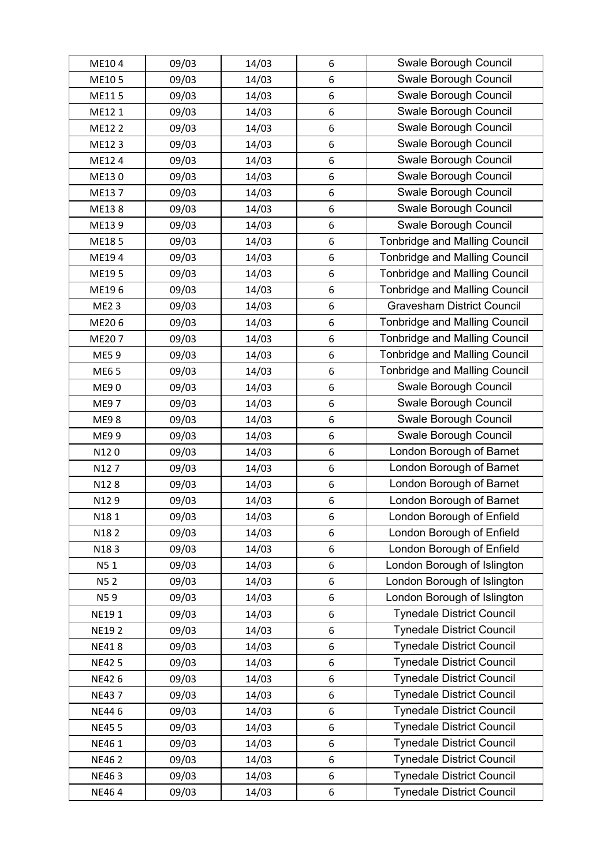| ME104        | 09/03 | 14/03 | 6                | Swale Borough Council                |
|--------------|-------|-------|------------------|--------------------------------------|
| ME105        | 09/03 | 14/03 | 6                | Swale Borough Council                |
| ME115        | 09/03 | 14/03 | 6                | Swale Borough Council                |
| ME121        | 09/03 | 14/03 | 6                | Swale Borough Council                |
| ME12 2       | 09/03 | 14/03 | 6                | Swale Borough Council                |
| ME123        | 09/03 | 14/03 | 6                | Swale Borough Council                |
| ME124        | 09/03 | 14/03 | 6                | Swale Borough Council                |
| ME130        | 09/03 | 14/03 | 6                | Swale Borough Council                |
| ME137        | 09/03 | 14/03 | 6                | Swale Borough Council                |
| ME138        | 09/03 | 14/03 | 6                | Swale Borough Council                |
| ME139        | 09/03 | 14/03 | 6                | Swale Borough Council                |
| ME185        | 09/03 | 14/03 | 6                | <b>Tonbridge and Malling Council</b> |
| ME194        | 09/03 | 14/03 | $\boldsymbol{6}$ | <b>Tonbridge and Malling Council</b> |
| ME195        | 09/03 | 14/03 | 6                | <b>Tonbridge and Malling Council</b> |
| ME196        | 09/03 | 14/03 | 6                | <b>Tonbridge and Malling Council</b> |
| <b>ME23</b>  | 09/03 | 14/03 | 6                | <b>Gravesham District Council</b>    |
| ME206        | 09/03 | 14/03 | 6                | <b>Tonbridge and Malling Council</b> |
| ME207        | 09/03 | 14/03 | 6                | <b>Tonbridge and Malling Council</b> |
| ME59         | 09/03 | 14/03 | 6                | <b>Tonbridge and Malling Council</b> |
| ME6 5        | 09/03 | 14/03 | 6                | <b>Tonbridge and Malling Council</b> |
| <b>ME90</b>  | 09/03 | 14/03 | 6                | Swale Borough Council                |
| <b>ME97</b>  | 09/03 | 14/03 | 6                | Swale Borough Council                |
| <b>ME98</b>  | 09/03 | 14/03 | 6                | Swale Borough Council                |
| ME9 9        | 09/03 | 14/03 | 6                | Swale Borough Council                |
| N120         | 09/03 | 14/03 | 6                | London Borough of Barnet             |
| N127         | 09/03 | 14/03 | 6                | London Borough of Barnet             |
| N128         | 09/03 | 14/03 | 6                | London Borough of Barnet             |
| N129         | 09/03 | 14/03 | 6                | London Borough of Barnet             |
| N181         | 09/03 | 14/03 | 6                | London Borough of Enfield            |
| N182         | 09/03 | 14/03 | 6                | London Borough of Enfield            |
| N183         | 09/03 | 14/03 | 6                | London Borough of Enfield            |
| N51          | 09/03 | 14/03 | 6                | London Borough of Islington          |
| <b>N52</b>   | 09/03 | 14/03 | 6                | London Borough of Islington          |
| N59          | 09/03 | 14/03 | 6                | London Borough of Islington          |
| NE191        | 09/03 | 14/03 | 6                | <b>Tynedale District Council</b>     |
| <b>NE192</b> | 09/03 | 14/03 | 6                | <b>Tynedale District Council</b>     |
| <b>NE418</b> | 09/03 | 14/03 | 6                | <b>Tynedale District Council</b>     |
| <b>NE425</b> | 09/03 | 14/03 | 6                | <b>Tynedale District Council</b>     |
| <b>NE426</b> | 09/03 | 14/03 | 6                | <b>Tynedale District Council</b>     |
| <b>NE437</b> | 09/03 | 14/03 | 6                | <b>Tynedale District Council</b>     |
| NE446        | 09/03 | 14/03 | 6                | <b>Tynedale District Council</b>     |
| <b>NE455</b> | 09/03 | 14/03 | 6                | <b>Tynedale District Council</b>     |
| NE46 1       | 09/03 | 14/03 | 6                | <b>Tynedale District Council</b>     |
| <b>NE462</b> | 09/03 | 14/03 | 6                | <b>Tynedale District Council</b>     |
| NE463        | 09/03 | 14/03 | 6                | <b>Tynedale District Council</b>     |
| NE464        | 09/03 | 14/03 | 6                | <b>Tynedale District Council</b>     |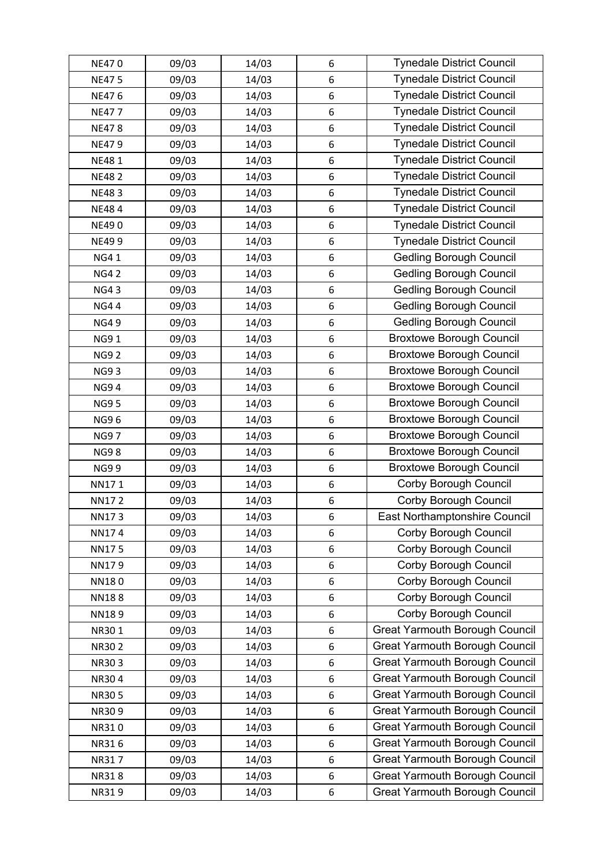| <b>NE470</b> | 09/03 | 14/03 | 6                | <b>Tynedale District Council</b>      |
|--------------|-------|-------|------------------|---------------------------------------|
| <b>NE475</b> | 09/03 | 14/03 | 6                | <b>Tynedale District Council</b>      |
| NE476        | 09/03 | 14/03 | $\boldsymbol{6}$ | <b>Tynedale District Council</b>      |
| <b>NE477</b> | 09/03 | 14/03 | 6                | <b>Tynedale District Council</b>      |
| <b>NE478</b> | 09/03 | 14/03 | $\boldsymbol{6}$ | <b>Tynedale District Council</b>      |
| <b>NE479</b> | 09/03 | 14/03 | $\boldsymbol{6}$ | <b>Tynedale District Council</b>      |
| <b>NE481</b> | 09/03 | 14/03 | 6                | <b>Tynedale District Council</b>      |
| <b>NE482</b> | 09/03 | 14/03 | 6                | <b>Tynedale District Council</b>      |
| <b>NE483</b> | 09/03 | 14/03 | $\boldsymbol{6}$ | <b>Tynedale District Council</b>      |
| NE484        | 09/03 | 14/03 | 6                | <b>Tynedale District Council</b>      |
| <b>NE490</b> | 09/03 | 14/03 | 6                | <b>Tynedale District Council</b>      |
| <b>NE499</b> | 09/03 | 14/03 | 6                | <b>Tynedale District Council</b>      |
| <b>NG41</b>  | 09/03 | 14/03 | $\boldsymbol{6}$ | <b>Gedling Borough Council</b>        |
| <b>NG42</b>  | 09/03 | 14/03 | $\boldsymbol{6}$ | <b>Gedling Borough Council</b>        |
| <b>NG43</b>  | 09/03 | 14/03 | 6                | <b>Gedling Borough Council</b>        |
| <b>NG44</b>  | 09/03 | 14/03 | 6                | <b>Gedling Borough Council</b>        |
| <b>NG49</b>  | 09/03 | 14/03 | 6                | <b>Gedling Borough Council</b>        |
| <b>NG91</b>  | 09/03 | 14/03 | 6                | <b>Broxtowe Borough Council</b>       |
| <b>NG92</b>  | 09/03 | 14/03 | 6                | <b>Broxtowe Borough Council</b>       |
| <b>NG93</b>  | 09/03 | 14/03 | 6                | <b>Broxtowe Borough Council</b>       |
| <b>NG94</b>  | 09/03 | 14/03 | $\boldsymbol{6}$ | <b>Broxtowe Borough Council</b>       |
| <b>NG95</b>  | 09/03 | 14/03 | $\boldsymbol{6}$ | <b>Broxtowe Borough Council</b>       |
| <b>NG96</b>  | 09/03 | 14/03 | 6                | <b>Broxtowe Borough Council</b>       |
| <b>NG97</b>  | 09/03 | 14/03 | 6                | <b>Broxtowe Borough Council</b>       |
| <b>NG98</b>  | 09/03 | 14/03 | 6                | <b>Broxtowe Borough Council</b>       |
| <b>NG99</b>  | 09/03 | 14/03 | 6                | <b>Broxtowe Borough Council</b>       |
| NN171        | 09/03 | 14/03 | 6                | Corby Borough Council                 |
| <b>NN172</b> | 09/03 | 14/03 | $\,6\,$          | Corby Borough Council                 |
| NN173        | 09/03 | 14/03 | 6                | East Northamptonshire Council         |
| NN174        | 09/03 | 14/03 | 6                | Corby Borough Council                 |
| <b>NN175</b> | 09/03 | 14/03 | $\boldsymbol{6}$ | Corby Borough Council                 |
| NN179        | 09/03 | 14/03 | 6                | Corby Borough Council                 |
| NN180        | 09/03 | 14/03 | $\boldsymbol{6}$ | Corby Borough Council                 |
| <b>NN188</b> | 09/03 | 14/03 | $\boldsymbol{6}$ | <b>Corby Borough Council</b>          |
| NN189        | 09/03 | 14/03 | $\boldsymbol{6}$ | Corby Borough Council                 |
| NR301        | 09/03 | 14/03 | 6                | <b>Great Yarmouth Borough Council</b> |
| <b>NR302</b> | 09/03 | 14/03 | $\boldsymbol{6}$ | <b>Great Yarmouth Borough Council</b> |
| NR303        | 09/03 | 14/03 | $6\phantom{1}6$  | <b>Great Yarmouth Borough Council</b> |
| NR304        | 09/03 | 14/03 | $\boldsymbol{6}$ | <b>Great Yarmouth Borough Council</b> |
| <b>NR305</b> | 09/03 | 14/03 | $\boldsymbol{6}$ | <b>Great Yarmouth Borough Council</b> |
| NR309        | 09/03 | 14/03 | $\boldsymbol{6}$ | <b>Great Yarmouth Borough Council</b> |
| NR310        | 09/03 | 14/03 | $\boldsymbol{6}$ | <b>Great Yarmouth Borough Council</b> |
| NR316        | 09/03 | 14/03 | $\boldsymbol{6}$ | <b>Great Yarmouth Borough Council</b> |
| NR317        | 09/03 | 14/03 | 6                | <b>Great Yarmouth Borough Council</b> |
| <b>NR318</b> | 09/03 | 14/03 | $6\phantom{1}6$  | <b>Great Yarmouth Borough Council</b> |
| NR319        | 09/03 | 14/03 | $\boldsymbol{6}$ | <b>Great Yarmouth Borough Council</b> |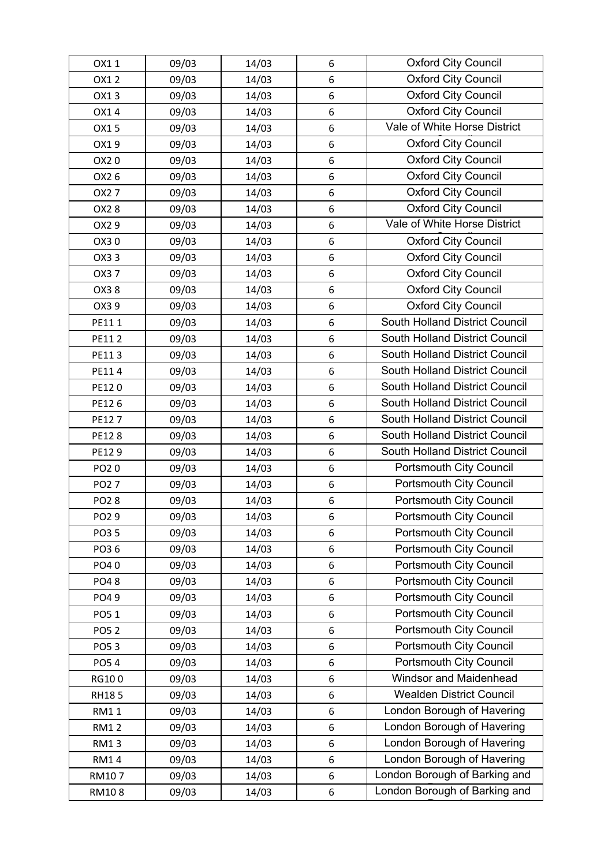| OX11             | 09/03 | 14/03 | 6                | <b>Oxford City Council</b>      |
|------------------|-------|-------|------------------|---------------------------------|
| OX12             | 09/03 | 14/03 | 6                | <b>Oxford City Council</b>      |
| OX13             | 09/03 | 14/03 | 6                | <b>Oxford City Council</b>      |
| OX14             | 09/03 | 14/03 | 6                | <b>Oxford City Council</b>      |
| OX15             | 09/03 | 14/03 | 6                | Vale of White Horse District    |
| OX19             | 09/03 | 14/03 | 6                | <b>Oxford City Council</b>      |
| OX20             | 09/03 | 14/03 | 6                | <b>Oxford City Council</b>      |
| OX2 6            | 09/03 | 14/03 | $\,6\,$          | Oxford City Council             |
| OX27             | 09/03 | 14/03 | 6                | <b>Oxford City Council</b>      |
| OX28             | 09/03 | 14/03 | 6                | <b>Oxford City Council</b>      |
| OX29             | 09/03 | 14/03 | 6                | Vale of White Horse District    |
| OX30             | 09/03 | 14/03 | $\,6\,$          | <b>Oxford City Council</b>      |
| OX33             | 09/03 | 14/03 | 6                | <b>Oxford City Council</b>      |
| OX37             | 09/03 | 14/03 | 6                | <b>Oxford City Council</b>      |
| OX38             | 09/03 | 14/03 | 6                | <b>Oxford City Council</b>      |
| OX39             | 09/03 | 14/03 | 6                | <b>Oxford City Council</b>      |
| PE111            | 09/03 | 14/03 | 6                | South Holland District Council  |
| PE112            | 09/03 | 14/03 | 6                | South Holland District Council  |
| PE113            | 09/03 | 14/03 | 6                | South Holland District Council  |
| PE114            | 09/03 | 14/03 | $\,6\,$          | South Holland District Council  |
| PE120            | 09/03 | 14/03 | $6\phantom{1}6$  | South Holland District Council  |
| PE126            | 09/03 | 14/03 | 6                | South Holland District Council  |
| PE127            | 09/03 | 14/03 | 6                | South Holland District Council  |
| PE128            | 09/03 | 14/03 | 6                | South Holland District Council  |
| PE129            | 09/03 | 14/03 | $\,6\,$          | South Holland District Council  |
| PO20             | 09/03 | 14/03 | 6                | <b>Portsmouth City Council</b>  |
| PO2 7            | 09/03 | 14/03 | 6                | Portsmouth City Council         |
| <b>PO28</b>      | 09/03 | 14/03 | $\,6\,$          | Portsmouth City Council         |
| PO <sub>29</sub> | 09/03 | 14/03 | 6                | Portsmouth City Council         |
| PO3 5            | 09/03 | 14/03 | 6                | <b>Portsmouth City Council</b>  |
| PO36             | 09/03 | 14/03 | 6                | <b>Portsmouth City Council</b>  |
| PO40             | 09/03 | 14/03 | 6                | <b>Portsmouth City Council</b>  |
| PO48             | 09/03 | 14/03 | 6                | Portsmouth City Council         |
| PO49             | 09/03 | 14/03 | 6                | Portsmouth City Council         |
| PO51             | 09/03 | 14/03 | 6                | Portsmouth City Council         |
| <b>PO52</b>      | 09/03 | 14/03 | 6                | Portsmouth City Council         |
| PO53             | 09/03 | 14/03 | $\boldsymbol{6}$ | Portsmouth City Council         |
| <b>PO54</b>      | 09/03 | 14/03 | 6                | <b>Portsmouth City Council</b>  |
| RG100            | 09/03 | 14/03 | 6                | Windsor and Maidenhead          |
| <b>RH185</b>     | 09/03 | 14/03 | 6                | <b>Wealden District Council</b> |
| <b>RM11</b>      | 09/03 | 14/03 | $\,6\,$          | London Borough of Havering      |
| <b>RM12</b>      | 09/03 | 14/03 | $\boldsymbol{6}$ | London Borough of Havering      |
| <b>RM13</b>      | 09/03 | 14/03 | 6                | London Borough of Havering      |
| <b>RM14</b>      | 09/03 | 14/03 | 6                | London Borough of Havering      |
| RM107            | 09/03 | 14/03 | $\boldsymbol{6}$ | London Borough of Barking and   |
| RM108            | 09/03 | 14/03 | 6                | London Borough of Barking and   |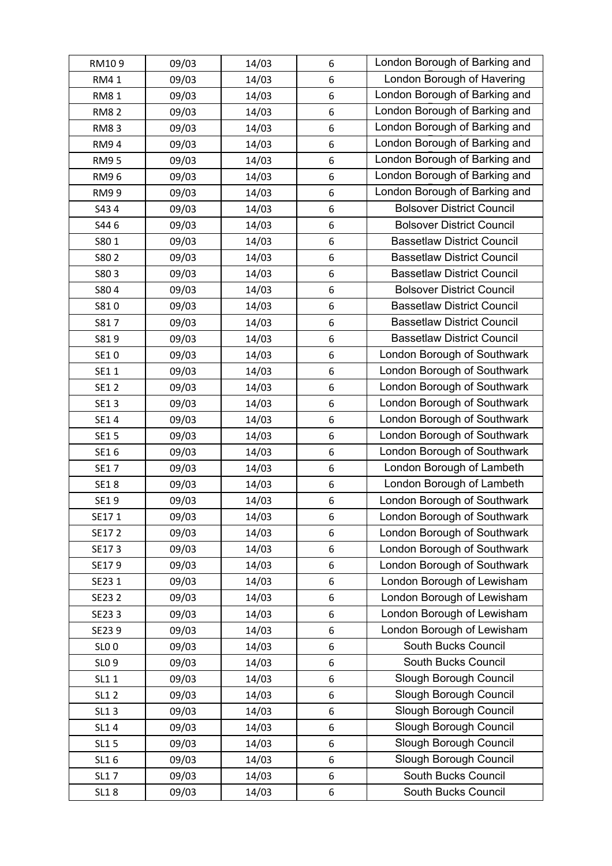| RM109        | 09/03 | 14/03 | 6                | London Borough of Barking and     |
|--------------|-------|-------|------------------|-----------------------------------|
| <b>RM41</b>  | 09/03 | 14/03 | 6                | London Borough of Havering        |
| <b>RM81</b>  | 09/03 | 14/03 | 6                | London Borough of Barking and     |
| <b>RM82</b>  | 09/03 | 14/03 | 6                | London Borough of Barking and     |
| <b>RM83</b>  | 09/03 | 14/03 | 6                | London Borough of Barking and     |
| <b>RM94</b>  | 09/03 | 14/03 | 6                | London Borough of Barking and     |
| <b>RM95</b>  | 09/03 | 14/03 | 6                | London Borough of Barking and     |
| RM96         | 09/03 | 14/03 | 6                | London Borough of Barking and     |
| <b>RM99</b>  | 09/03 | 14/03 | 6                | London Borough of Barking and     |
| S434         | 09/03 | 14/03 | 6                | <b>Bolsover District Council</b>  |
| S446         | 09/03 | 14/03 | 6                | <b>Bolsover District Council</b>  |
| S801         | 09/03 | 14/03 | $\boldsymbol{6}$ | <b>Bassetlaw District Council</b> |
| S80 2        | 09/03 | 14/03 | 6                | <b>Bassetlaw District Council</b> |
| S803         | 09/03 | 14/03 | 6                | <b>Bassetlaw District Council</b> |
| S804         | 09/03 | 14/03 | 6                | <b>Bolsover District Council</b>  |
| S810         | 09/03 | 14/03 | $\boldsymbol{6}$ | <b>Bassetlaw District Council</b> |
| S817         | 09/03 | 14/03 | 6                | <b>Bassetlaw District Council</b> |
| S819         | 09/03 | 14/03 | 6                | <b>Bassetlaw District Council</b> |
| SE10         | 09/03 | 14/03 | 6                | London Borough of Southwark       |
| SE11         | 09/03 | 14/03 | 6                | London Borough of Southwark       |
| SE1 2        | 09/03 | 14/03 | 6                | London Borough of Southwark       |
| SE13         | 09/03 | 14/03 | 6                | London Borough of Southwark       |
| SE14         | 09/03 | 14/03 | 6                | London Borough of Southwark       |
| SE1 5        | 09/03 | 14/03 | 6                | London Borough of Southwark       |
| SE16         | 09/03 | 14/03 | 6                | London Borough of Southwark       |
| SE17         | 09/03 | 14/03 | 6                | London Borough of Lambeth         |
| <b>SE18</b>  | 09/03 | 14/03 | 6                | London Borough of Lambeth         |
| SE19         | 09/03 | 14/03 | $\boldsymbol{6}$ | London Borough of Southwark       |
| SE171        | 09/03 | 14/03 | 6                | London Borough of Southwark       |
| SE172        | 09/03 | 14/03 | 6                | London Borough of Southwark       |
| SE173        | 09/03 | 14/03 | 6                | London Borough of Southwark       |
| SE179        | 09/03 | 14/03 | 6                | London Borough of Southwark       |
| SE23 1       | 09/03 | 14/03 | 6                | London Borough of Lewisham        |
| SE23 2       | 09/03 | 14/03 | 6                | London Borough of Lewisham        |
| SE233        | 09/03 | 14/03 | 6                | London Borough of Lewisham        |
| SE239        | 09/03 | 14/03 | 6                | London Borough of Lewisham        |
| <b>SLO 0</b> | 09/03 | 14/03 | 6                | South Bucks Council               |
| SLO 9        | 09/03 | 14/03 | 6                | South Bucks Council               |
| SL1 1        | 09/03 | 14/03 | 6                | Slough Borough Council            |
| <b>SL12</b>  | 09/03 | 14/03 | 6                | Slough Borough Council            |
| SL13         | 09/03 | 14/03 | 6                | Slough Borough Council            |
| SL14         | 09/03 | 14/03 | 6                | Slough Borough Council            |
| SL1 5        | 09/03 | 14/03 | 6                | Slough Borough Council            |
| SL16         | 09/03 | 14/03 | 6                | Slough Borough Council            |
| <b>SL17</b>  | 09/03 | 14/03 | 6                | South Bucks Council               |
| <b>SL18</b>  | 09/03 | 14/03 | 6                | South Bucks Council               |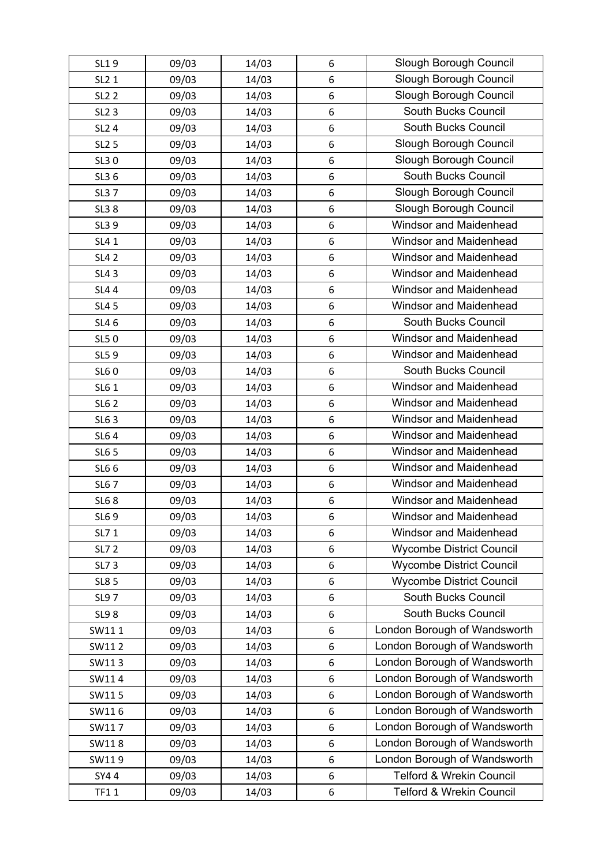| SL19              | 09/03 | 14/03 | 6                | Slough Borough Council          |
|-------------------|-------|-------|------------------|---------------------------------|
| SL2 1             | 09/03 | 14/03 | 6                | Slough Borough Council          |
| <b>SL2 2</b>      | 09/03 | 14/03 | 6                | Slough Borough Council          |
| SL <sub>2</sub> 3 | 09/03 | 14/03 | 6                | South Bucks Council             |
| SL2 4             | 09/03 | 14/03 | 6                | South Bucks Council             |
| <b>SL2 5</b>      | 09/03 | 14/03 | 6                | Slough Borough Council          |
| SL30              | 09/03 | 14/03 | 6                | Slough Borough Council          |
| SL3 6             | 09/03 | 14/03 | 6                | South Bucks Council             |
| <b>SL37</b>       | 09/03 | 14/03 | 6                | Slough Borough Council          |
| <b>SL38</b>       | 09/03 | 14/03 | 6                | Slough Borough Council          |
| SL3 9             | 09/03 | 14/03 | 6                | Windsor and Maidenhead          |
| SL4 1             | 09/03 | 14/03 | 6                | Windsor and Maidenhead          |
| <b>SL42</b>       | 09/03 | 14/03 | 6                | Windsor and Maidenhead          |
| <b>SL43</b>       | 09/03 | 14/03 | 6                | Windsor and Maidenhead          |
| <b>SL44</b>       | 09/03 | 14/03 | 6                | Windsor and Maidenhead          |
| <b>SL45</b>       | 09/03 | 14/03 | 6                | Windsor and Maidenhead          |
| SL4 6             | 09/03 | 14/03 | 6                | South Bucks Council             |
| <b>SL50</b>       | 09/03 | 14/03 | 6                | Windsor and Maidenhead          |
| SL59              | 09/03 | 14/03 | 6                | Windsor and Maidenhead          |
| <b>SL60</b>       | 09/03 | 14/03 | 6                | South Bucks Council             |
| SL6 1             | 09/03 | 14/03 | 6                | Windsor and Maidenhead          |
| <b>SL62</b>       | 09/03 | 14/03 | 6                | Windsor and Maidenhead          |
| SL6 3             | 09/03 | 14/03 | 6                | Windsor and Maidenhead          |
| <b>SL64</b>       | 09/03 | 14/03 | 6                | Windsor and Maidenhead          |
| <b>SL6 5</b>      | 09/03 | 14/03 | 6                | <b>Windsor and Maidenhead</b>   |
| SL6 6             | 09/03 | 14/03 | 6                | Windsor and Maidenhead          |
| <b>SL67</b>       | 09/03 | 14/03 | 6                | Windsor and Maidenhead          |
| <b>SL68</b>       | 09/03 | 14/03 | 6                | Windsor and Maidenhead          |
| SL69              | 09/03 | 14/03 | 6                | Windsor and Maidenhead          |
| SL7 1             | 09/03 | 14/03 | 6                | Windsor and Maidenhead          |
| <b>SL72</b>       | 09/03 | 14/03 | 6                | <b>Wycombe District Council</b> |
| <b>SL73</b>       | 09/03 | 14/03 | 6                | <b>Wycombe District Council</b> |
| <b>SL8 5</b>      | 09/03 | 14/03 | $\boldsymbol{6}$ | <b>Wycombe District Council</b> |
| <b>SL97</b>       | 09/03 | 14/03 | 6                | South Bucks Council             |
| <b>SL98</b>       | 09/03 | 14/03 | 6                | South Bucks Council             |
| SW111             | 09/03 | 14/03 | 6                | London Borough of Wandsworth    |
| SW112             | 09/03 | 14/03 | 6                | London Borough of Wandsworth    |
| SW113             | 09/03 | 14/03 | 6                | London Borough of Wandsworth    |
| SW114             | 09/03 | 14/03 | 6                | London Borough of Wandsworth    |
| SW115             | 09/03 | 14/03 | 6                | London Borough of Wandsworth    |
| SW116             | 09/03 | 14/03 | 6                | London Borough of Wandsworth    |
| SW117             | 09/03 | 14/03 | 6                | London Borough of Wandsworth    |
| SW118             | 09/03 | 14/03 | 6                | London Borough of Wandsworth    |
| SW119             | 09/03 | 14/03 | 6                | London Borough of Wandsworth    |
| SY44              | 09/03 | 14/03 | $\,6\,$          | Telford & Wrekin Council        |
| <b>TF11</b>       | 09/03 | 14/03 | 6                | Telford & Wrekin Council        |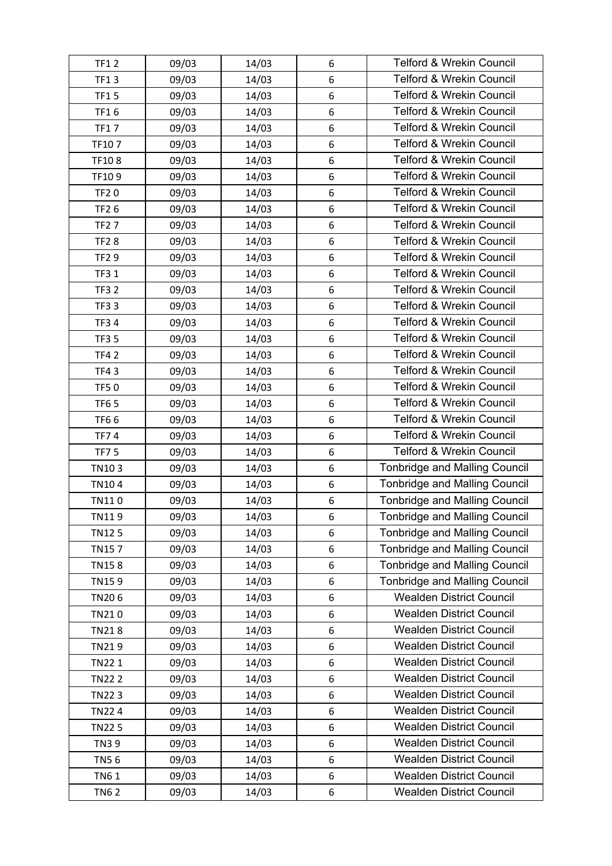| <b>TF12</b>  | 09/03 | 14/03 | 6                | <b>Telford &amp; Wrekin Council</b>  |
|--------------|-------|-------|------------------|--------------------------------------|
| <b>TF13</b>  | 09/03 | 14/03 | 6                | <b>Telford &amp; Wrekin Council</b>  |
| <b>TF15</b>  | 09/03 | 14/03 | $\boldsymbol{6}$ | <b>Telford &amp; Wrekin Council</b>  |
| <b>TF16</b>  | 09/03 | 14/03 | $\,6\,$          | <b>Telford &amp; Wrekin Council</b>  |
| <b>TF17</b>  | 09/03 | 14/03 | 6                | <b>Telford &amp; Wrekin Council</b>  |
| TF107        | 09/03 | 14/03 | $\boldsymbol{6}$ | <b>Telford &amp; Wrekin Council</b>  |
| TF108        | 09/03 | 14/03 | 6                | <b>Telford &amp; Wrekin Council</b>  |
| TF109        | 09/03 | 14/03 | 6                | <b>Telford &amp; Wrekin Council</b>  |
| <b>TF20</b>  | 09/03 | 14/03 | 6                | <b>Telford &amp; Wrekin Council</b>  |
| <b>TF26</b>  | 09/03 | 14/03 | 6                | <b>Telford &amp; Wrekin Council</b>  |
| <b>TF27</b>  | 09/03 | 14/03 | 6                | <b>Telford &amp; Wrekin Council</b>  |
| <b>TF28</b>  | 09/03 | 14/03 | $\,6\,$          | <b>Telford &amp; Wrekin Council</b>  |
| <b>TF29</b>  | 09/03 | 14/03 | 6                | <b>Telford &amp; Wrekin Council</b>  |
| <b>TF3 1</b> | 09/03 | 14/03 | $\boldsymbol{6}$ | <b>Telford &amp; Wrekin Council</b>  |
| <b>TF32</b>  | 09/03 | 14/03 | 6                | <b>Telford &amp; Wrekin Council</b>  |
| <b>TF33</b>  | 09/03 | 14/03 | 6                | <b>Telford &amp; Wrekin Council</b>  |
| <b>TF34</b>  | 09/03 | 14/03 | 6                | <b>Telford &amp; Wrekin Council</b>  |
| <b>TF35</b>  | 09/03 | 14/03 | $\boldsymbol{6}$ | <b>Telford &amp; Wrekin Council</b>  |
| <b>TF42</b>  | 09/03 | 14/03 | 6                | <b>Telford &amp; Wrekin Council</b>  |
| <b>TF43</b>  | 09/03 | 14/03 | $\,6\,$          | <b>Telford &amp; Wrekin Council</b>  |
| <b>TF50</b>  | 09/03 | 14/03 | 6                | <b>Telford &amp; Wrekin Council</b>  |
| <b>TF65</b>  | 09/03 | 14/03 | $\boldsymbol{6}$ | <b>Telford &amp; Wrekin Council</b>  |
| TF66         | 09/03 | 14/03 | 6                | <b>Telford &amp; Wrekin Council</b>  |
| <b>TF74</b>  | 09/03 | 14/03 | 6                | <b>Telford &amp; Wrekin Council</b>  |
| <b>TF75</b>  | 09/03 | 14/03 | 6                | <b>Telford &amp; Wrekin Council</b>  |
| TN103        | 09/03 | 14/03 | 6                | <b>Tonbridge and Malling Council</b> |
| TN104        | 09/03 | 14/03 | 6                | <b>Tonbridge and Malling Council</b> |
| TN110        | 09/03 | 14/03 | $\,6\,$          | <b>Tonbridge and Malling Council</b> |
| TN119        | 09/03 | 14/03 | 6                | <b>Tonbridge and Malling Council</b> |
| <b>TN125</b> | 09/03 | 14/03 | 6                | <b>Tonbridge and Malling Council</b> |
| <b>TN157</b> | 09/03 | 14/03 | 6                | <b>Tonbridge and Malling Council</b> |
| <b>TN158</b> | 09/03 | 14/03 | 6                | <b>Tonbridge and Malling Council</b> |
| TN159        | 09/03 | 14/03 | $\boldsymbol{6}$ | <b>Tonbridge and Malling Council</b> |
| TN206        | 09/03 | 14/03 | 6                | <b>Wealden District Council</b>      |
| TN210        | 09/03 | 14/03 | 6                | <b>Wealden District Council</b>      |
| <b>TN218</b> | 09/03 | 14/03 | 6                | <b>Wealden District Council</b>      |
| TN219        | 09/03 | 14/03 | $\boldsymbol{6}$ | <b>Wealden District Council</b>      |
| TN22 1       | 09/03 | 14/03 | $\boldsymbol{6}$ | <b>Wealden District Council</b>      |
| <b>TN222</b> | 09/03 | 14/03 | $\boldsymbol{6}$ | <b>Wealden District Council</b>      |
| <b>TN223</b> | 09/03 | 14/03 | $\boldsymbol{6}$ | <b>Wealden District Council</b>      |
| <b>TN224</b> | 09/03 | 14/03 | 6                | <b>Wealden District Council</b>      |
| <b>TN225</b> | 09/03 | 14/03 | $\boldsymbol{6}$ | <b>Wealden District Council</b>      |
| <b>TN39</b>  | 09/03 | 14/03 | $\boldsymbol{6}$ | <b>Wealden District Council</b>      |
| <b>TN56</b>  | 09/03 | 14/03 | 6                | <b>Wealden District Council</b>      |
| <b>TN61</b>  | 09/03 | 14/03 | $\boldsymbol{6}$ | <b>Wealden District Council</b>      |
| <b>TN62</b>  | 09/03 | 14/03 | 6                | <b>Wealden District Council</b>      |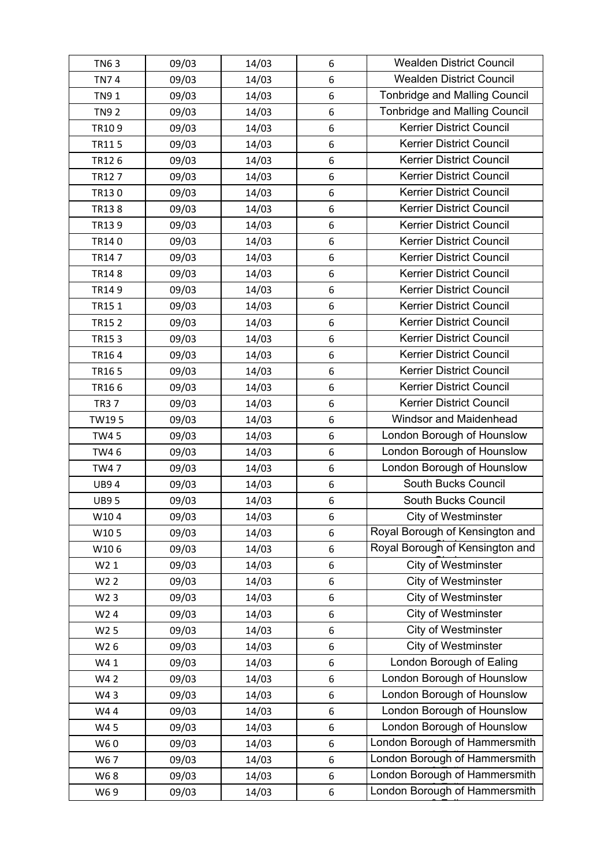| <b>TN63</b>      | 09/03 | 14/03 | 6                | <b>Wealden District Council</b>      |
|------------------|-------|-------|------------------|--------------------------------------|
| <b>TN74</b>      | 09/03 | 14/03 | 6                | <b>Wealden District Council</b>      |
| <b>TN91</b>      | 09/03 | 14/03 | 6                | <b>Tonbridge and Malling Council</b> |
| <b>TN92</b>      | 09/03 | 14/03 | 6                | <b>Tonbridge and Malling Council</b> |
| TR109            | 09/03 | 14/03 | 6                | <b>Kerrier District Council</b>      |
| <b>TR115</b>     | 09/03 | 14/03 | 6                | Kerrier District Council             |
| TR126            | 09/03 | 14/03 | 6                | <b>Kerrier District Council</b>      |
| TR127            | 09/03 | 14/03 | 6                | <b>Kerrier District Council</b>      |
| TR130            | 09/03 | 14/03 | 6                | <b>Kerrier District Council</b>      |
| TR138            | 09/03 | 14/03 | 6                | <b>Kerrier District Council</b>      |
| TR139            | 09/03 | 14/03 | 6                | Kerrier District Council             |
| TR140            | 09/03 | 14/03 | 6                | <b>Kerrier District Council</b>      |
| TR147            | 09/03 | 14/03 | 6                | <b>Kerrier District Council</b>      |
| <b>TR148</b>     | 09/03 | 14/03 | 6                | Kerrier District Council             |
| TR149            | 09/03 | 14/03 | 6                | <b>Kerrier District Council</b>      |
| TR151            | 09/03 | 14/03 | 6                | <b>Kerrier District Council</b>      |
| <b>TR152</b>     | 09/03 | 14/03 | 6                | <b>Kerrier District Council</b>      |
| TR153            | 09/03 | 14/03 | 6                | <b>Kerrier District Council</b>      |
| TR164            | 09/03 | 14/03 | 6                | Kerrier District Council             |
| TR165            | 09/03 | 14/03 | 6                | <b>Kerrier District Council</b>      |
| TR166            | 09/03 | 14/03 | 6                | <b>Kerrier District Council</b>      |
| <b>TR37</b>      | 09/03 | 14/03 | 6                | <b>Kerrier District Council</b>      |
| TW195            | 09/03 | 14/03 | 6                | Windsor and Maidenhead               |
| <b>TW45</b>      | 09/03 | 14/03 | 6                | London Borough of Hounslow           |
| TW4 6            | 09/03 | 14/03 | $\boldsymbol{6}$ | London Borough of Hounslow           |
| <b>TW47</b>      | 09/03 | 14/03 | 6                | London Borough of Hounslow           |
| <b>UB94</b>      | 09/03 | 14/03 | 6                | South Bucks Council                  |
| <b>UB95</b>      | 09/03 | 14/03 | 6                | South Bucks Council                  |
| W104             | 09/03 | 14/03 | 6                | City of Westminster                  |
| W105             | 09/03 | 14/03 | 6                | Royal Borough of Kensington and      |
| W106             | 09/03 | 14/03 | 6                | Royal Borough of Kensington and      |
| W2 1             | 09/03 | 14/03 | 6                | <b>City of Westminster</b>           |
| W <sub>2</sub> 2 | 09/03 | 14/03 | 6                | <b>City of Westminster</b>           |
| W <sub>2</sub> 3 | 09/03 | 14/03 | 6                | <b>City of Westminster</b>           |
| W24              | 09/03 | 14/03 | 6                | <b>City of Westminster</b>           |
| W <sub>25</sub>  | 09/03 | 14/03 | 6                | <b>City of Westminster</b>           |
| W26              | 09/03 | 14/03 | 6                | <b>City of Westminster</b>           |
| W41              | 09/03 | 14/03 | 6                | London Borough of Ealing             |
| W4 2             | 09/03 | 14/03 | 6                | London Borough of Hounslow           |
| W43              | 09/03 | 14/03 | 6                | London Borough of Hounslow           |
| W44              | 09/03 | 14/03 | 6                | London Borough of Hounslow           |
| W45              | 09/03 | 14/03 | 6                | London Borough of Hounslow           |
| W60              | 09/03 | 14/03 | 6                | London Borough of Hammersmith        |
| W67              | 09/03 | 14/03 | 6                | London Borough of Hammersmith        |
| W68              | 09/03 | 14/03 | 6                | London Borough of Hammersmith        |
| W69              | 09/03 | 14/03 | 6                | London Borough of Hammersmith        |